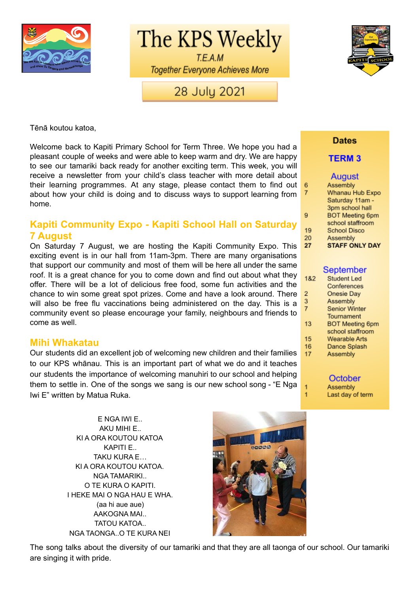

The KPS Weekly

T.E.A.M **Together Everyone Achieves More** 

# 28 July 2021



Tēnā koutou katoa,

Welcome back to Kapiti Primary School for Term Three. We hope you had a pleasant couple of weeks and were able to keep warm and dry. We are happy to see our tamariki back ready for another exciting term. This week, you will receive a newsletter from your child's class teacher with more detail about their learning programmes. At any stage, please contact them to find out about how your child is doing and to discuss ways to support learning from home.

## **Kapiti Community Expo - Kapiti School Hall on Saturday 7 August**

On Saturday 7 August, we are hosting the Kapiti Community Expo. This exciting event is in our hall from 11am-3pm. There are many organisations that support our community and most of them will be here all under the same roof. It is a great chance for you to come down and find out about what they offer. There will be a lot of delicious free food, some fun activities and the chance to win some great spot prizes. Come and have a look around. There will also be free flu vaccinations being administered on the day. This is a community event so please encourage your family, neighbours and friends to come as well.

### **Mihi Whakatau**

Our students did an excellent job of welcoming new children and their families to our KPS whānau. This is an important part of what we do and it teaches our students the importance of welcoming manuhiri to our school and helping them to settle in. One of the songs we sang is our new school song - "E Nga Iwi E" written by Matua Ruka.

> E NGA IWI E.. AKU MIHI E.. KI A ORA KOUTOU KATOA KAPITI E.. TAKU KURA E… KI A ORA KOUTOU KATOA. NGA TAMARIKI.. O TE KURA O KAPITI. I HEKE MAI O NGA HAU E WHA. (aa hi aue aue) AAKOGNA MAI.. TATOU KATOA.. NGA TAONGA..O TE KURA NEI



The song talks about the diversity of our tamariki and that they are all taonga of our school. Our tamariki are singing it with pride.

### **Dates**

### **TERM3**

### **August**

| 6              | Assembly               |
|----------------|------------------------|
| $\overline{7}$ | Whanau Hub Expo        |
|                | Saturday 11am -        |
|                | 3pm school hall        |
| 9              | <b>BOT Meeting 6pm</b> |
|                | school staffroom       |
| 19             | <b>School Disco</b>    |
| 20             | Assembly               |
| 27             | <b>STAFF ONLY DAY</b>  |

### September

| 1&2 | <b>Student Led</b>     |
|-----|------------------------|
|     | Conferences            |
| 2   | Onesie Day             |
| 3   | Assembly               |
| 7   | <b>Senior Winter</b>   |
|     | Tournament             |
| 13  | <b>BOT Meeting 6pm</b> |
|     | school staffroom       |
| 15  | Wearable Arts          |
| 16  | Dance Splash           |
| 17  | Assembly               |
|     |                        |

October

Assembly Last day of term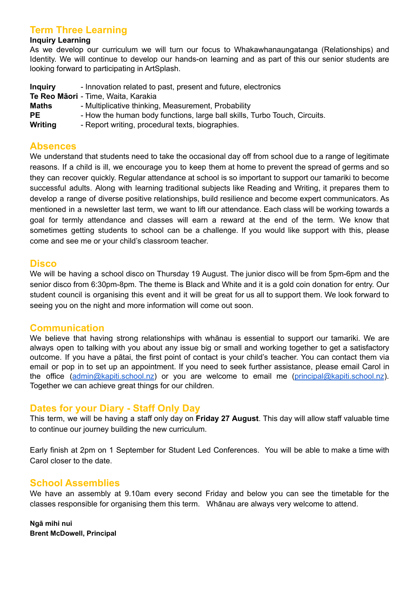## **Term Three Learning**

### **Inquiry Learning**

As we develop our curriculum we will turn our focus to Whakawhanaungatanga (Relationships) and Identity. We will continue to develop our hands-on learning and as part of this our senior students are looking forward to participating in ArtSplash.

| <b>Inquiry</b> | - Innovation related to past, present and future, electronics             |
|----------------|---------------------------------------------------------------------------|
|                | Te Reo Māori - Time, Waita, Karakia                                       |
| Maths          | - Multiplicative thinking, Measurement, Probability                       |
| <b>PE</b>      | - How the human body functions, large ball skills, Turbo Touch, Circuits. |
| Writing        | - Report writing, procedural texts, biographies.                          |

### **Absences**

We understand that students need to take the occasional day off from school due to a range of legitimate reasons. If a child is ill, we encourage you to keep them at home to prevent the spread of germs and so they can recover quickly. Regular attendance at school is so important to support our tamariki to become successful adults. Along with learning traditional subjects like Reading and Writing, it prepares them to develop a range of diverse positive relationships, build resilience and become expert communicators. As mentioned in a newsletter last term, we want to lift our attendance. Each class will be working towards a goal for termly attendance and classes will earn a reward at the end of the term. We know that sometimes getting students to school can be a challenge. If you would like support with this, please come and see me or your child's classroom teacher.

### **Disco**

We will be having a school disco on Thursday 19 August. The junior disco will be from 5pm-6pm and the senior disco from 6:30pm-8pm. The theme is Black and White and it is a gold coin donation for entry. Our student council is organising this event and it will be great for us all to support them. We look forward to seeing you on the night and more information will come out soon.

### **Communication**

We believe that having strong relationships with whānau is essential to support our tamariki. We are always open to talking with you about any issue big or small and working together to get a satisfactory outcome. If you have a pātai, the first point of contact is your child's teacher. You can contact them via email or pop in to set up an appointment. If you need to seek further assistance, please email Carol in the office ([admin@kapiti.school.nz\)](mailto:admin@kapiti.school.nz) or you are welcome to email me [\(principal@kapiti.school.nz](mailto:principal@kapiti.school.nz)). Together we can achieve great things for our children.

### **Dates for your Diary - Staff Only Day**

This term, we will be having a staff only day on **Friday 27 August**. This day will allow staff valuable time to continue our journey building the new curriculum.

Early finish at 2pm on 1 September for Student Led Conferences. You will be able to make a time with Carol closer to the date.

### **School Assemblies**

We have an assembly at 9.10am every second Friday and below you can see the timetable for the classes responsible for organising them this term. Whānau are always very welcome to attend.

**Ngā mihi nui Brent McDowell, Principal**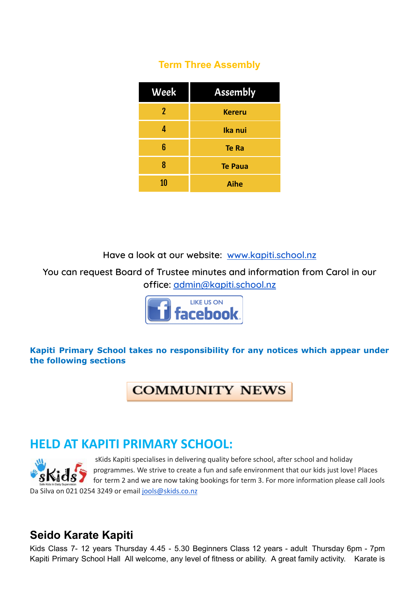# **Term Three Assembly**

| Week | <b>Assembly</b> |
|------|-----------------|
| 2    | <b>Kereru</b>   |
| 4    | Ika nui         |
| 6    | Te Ra           |
| 8    | <b>Te Paua</b>  |
| 10   | <b>Aihe</b>     |

**Have a look at our website: [www.kapiti.school.nz](http://www.kapiti.school.nz)**

**You can request Board of Trustee minutes and information from Carol in our office: [admin@kapiti.school.nz](mailto:admin@kapiti.school.mz)**



## **Kapiti Primary School takes no responsibility for any notices which appear under the following sections**

# **COMMUNITY NEWS**

# **HELD AT KAPITI PRIMARY SCHOOL:**



sKids Kapiti specialises in delivering quality before school, after school and holiday programmes. We strive to create a fun and safe environment that our kids just love! Places **KidS**  $\bullet$  for term 2 and we are now taking bookings for term 3. For more information please call Jools

Da Silva on 021 0254 3249 or email jools@skids.co.nz

# **Seido Karate Kapiti**

Kids Class 7- 12 years Thursday 4.45 - 5.30 Beginners Class 12 years - adult Thursday 6pm - 7pm Kapiti Primary School Hall All welcome, any level of fitness or ability. A great family activity. Karate is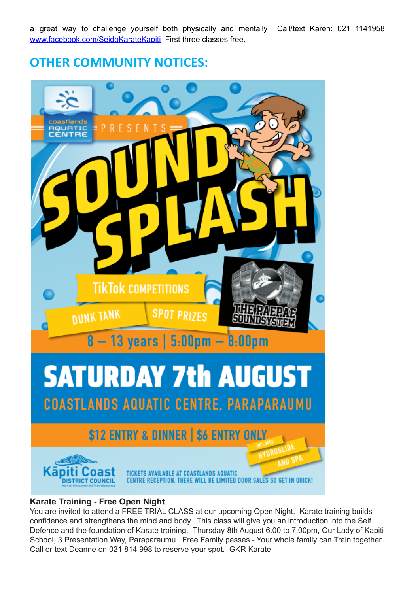a great way to challenge yourself both physically and mentally Call/text Karen: 021 1141958 [www.facebook.com/SeidoKarateKapiti](http://www.facebook.com/SeidoKarateKapiti) First three classes free.

**OTHER COMMUNITY NOTICES:**



### **Karate Training - Free Open Night**

You are invited to attend a FREE TRIAL CLASS at our upcoming Open Night. Karate training builds confidence and strengthens the mind and body. This class will give you an introduction into the Self Defence and the foundation of Karate training. Thursday 8th August 6.00 to 7.00pm, Our Lady of Kapiti School, 3 Presentation Way, Paraparaumu. Free Family passes - Your whole family can Train together. Call or text Deanne on 021 814 998 to reserve your spot. GKR Karate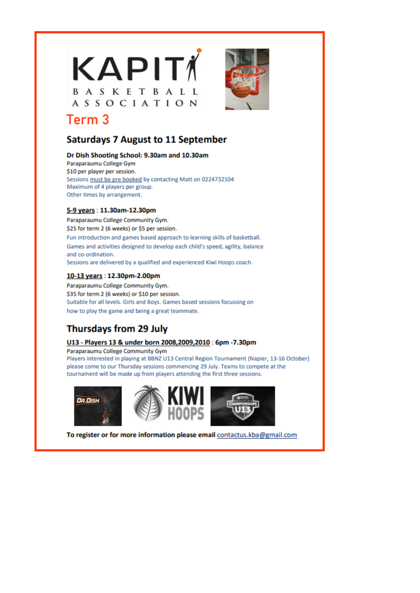



# Term<sub>3</sub>

## **Saturdays 7 August to 11 September**

#### Dr Dish Shooting School: 9.30am and 10.30am

Paraparaumu College Gym \$10 per player per session. Sessions must be pre booked by contacting Matt on 0224732104 Maximum of 4 players per group. Other times by arrangement.

### 5-9 years: 11.30am-12.30pm

Paraparaumu College Community Gym. \$25 for term 2 (6 weeks) or \$5 per session. Fun introduction and games based approach to learning skills of basketball. Games and activities designed to develop each child's speed, agility, balance and co-ordination. Sessions are delivered by a qualified and experienced Kiwi Hoops coach.

### 10-13 years: 12.30pm-2.00pm

Paraparaumu College Community Gym. \$35 for term 2 (6 weeks) or \$10 per session. Suitable for all levels. Girls and Boys. Games based sessions focussing on how to play the game and being a great teammate.

## **Thursdays from 29 July**

### U13 - Players 13 & under born 2008,2009,2010 : 6pm -7.30pm

Paraparaumu College Community Gym

Players interested in playing at BBNZ U13 Central Region Tournament (Napier, 13-16 October) please come to our Thursday sessions commencing 29 July. Teams to compete at the tournament will be made up from players attending the first three sessions.







To register or for more information please email contactus.kba@gmail.com